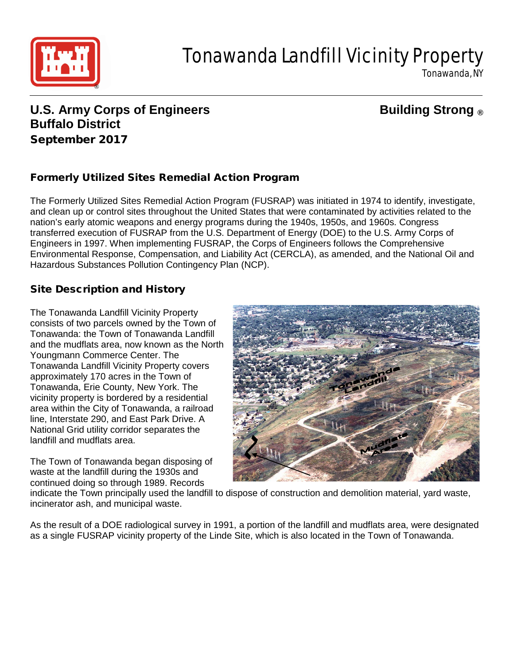

# Tonawanda Landfill Vicinity Property

Tonawanda, NY

## **U.S. Army Corps of Engineers Building Strong ® Buffalo District** September 2017

### Formerly Utilized Sites Remedial Action Program

The Formerly Utilized Sites Remedial Action Program (FUSRAP) was initiated in 1974 to identify, investigate, and clean up or control sites throughout the United States that were contaminated by activities related to the nation's early atomic weapons and energy programs during the 1940s, 1950s, and 1960s. Congress transferred execution of FUSRAP from the U.S. Department of Energy (DOE) to the U.S. Army Corps of Engineers in 1997. When implementing FUSRAP, the Corps of Engineers follows the Comprehensive Environmental Response, Compensation, and Liability Act (CERCLA), as amended, and the National Oil and Hazardous Substances Pollution Contingency Plan (NCP).

#### Site Description and History

The Tonawanda Landfill Vicinity Property consists of two parcels owned by the Town of Tonawanda: the Town of Tonawanda Landfill and the mudflats area, now known as the North Youngmann Commerce Center. The Tonawanda Landfill Vicinity Property covers approximately 170 acres in the Town of Tonawanda, Erie County, New York. The vicinity property is bordered by a residential area within the City of Tonawanda, a railroad line, Interstate 290, and East Park Drive. A National Grid utility corridor separates the landfill and mudflats area.

The Town of Tonawanda began disposing of waste at the landfill during the 1930s and continued doing so through 1989. Records



indicate the Town principally used the landfill to dispose of construction and demolition material, yard waste, incinerator ash, and municipal waste.

As the result of a DOE radiological survey in 1991, a portion of the landfill and mudflats area, were designated as a single FUSRAP vicinity property of the Linde Site, which is also located in the Town of Tonawanda.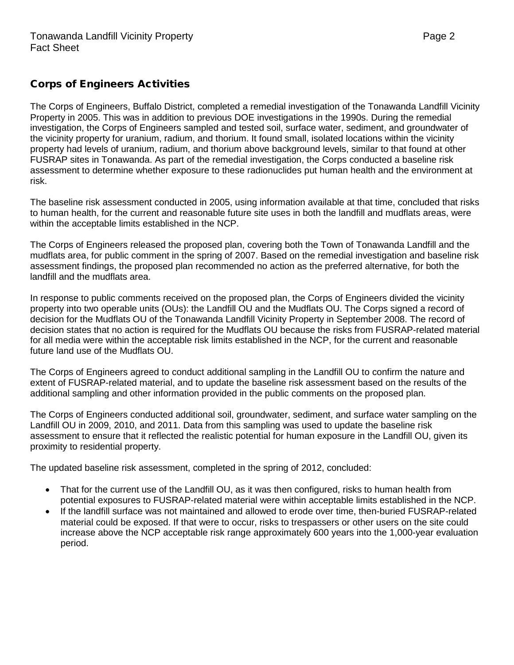#### Corps of Engineers Activities

The Corps of Engineers, Buffalo District, completed a remedial investigation of the Tonawanda Landfill Vicinity Property in 2005. This was in addition to previous DOE investigations in the 1990s. During the remedial investigation, the Corps of Engineers sampled and tested soil, surface water, sediment, and groundwater of the vicinity property for uranium, radium, and thorium. It found small, isolated locations within the vicinity property had levels of uranium, radium, and thorium above background levels, similar to that found at other FUSRAP sites in Tonawanda. As part of the remedial investigation, the Corps conducted a baseline risk assessment to determine whether exposure to these radionuclides put human health and the environment at risk.

The baseline risk assessment conducted in 2005, using information available at that time, concluded that risks to human health, for the current and reasonable future site uses in both the landfill and mudflats areas, were within the acceptable limits established in the NCP.

The Corps of Engineers released the proposed plan, covering both the Town of Tonawanda Landfill and the mudflats area, for public comment in the spring of 2007. Based on the remedial investigation and baseline risk assessment findings, the proposed plan recommended no action as the preferred alternative, for both the landfill and the mudflats area.

In response to public comments received on the proposed plan, the Corps of Engineers divided the vicinity property into two operable units (OUs): the Landfill OU and the Mudflats OU. The Corps signed a record of decision for the Mudflats OU of the Tonawanda Landfill Vicinity Property in September 2008. The record of decision states that no action is required for the Mudflats OU because the risks from FUSRAP-related material for all media were within the acceptable risk limits established in the NCP, for the current and reasonable future land use of the Mudflats OU.

The Corps of Engineers agreed to conduct additional sampling in the Landfill OU to confirm the nature and extent of FUSRAP-related material, and to update the baseline risk assessment based on the results of the additional sampling and other information provided in the public comments on the proposed plan.

The Corps of Engineers conducted additional soil, groundwater, sediment, and surface water sampling on the Landfill OU in 2009, 2010, and 2011. Data from this sampling was used to update the baseline risk assessment to ensure that it reflected the realistic potential for human exposure in the Landfill OU, given its proximity to residential property.

The updated baseline risk assessment, completed in the spring of 2012, concluded:

- That for the current use of the Landfill OU, as it was then configured, risks to human health from potential exposures to FUSRAP-related material were within acceptable limits established in the NCP.
- If the landfill surface was not maintained and allowed to erode over time, then-buried FUSRAP-related material could be exposed. If that were to occur, risks to trespassers or other users on the site could increase above the NCP acceptable risk range approximately 600 years into the 1,000-year evaluation period.